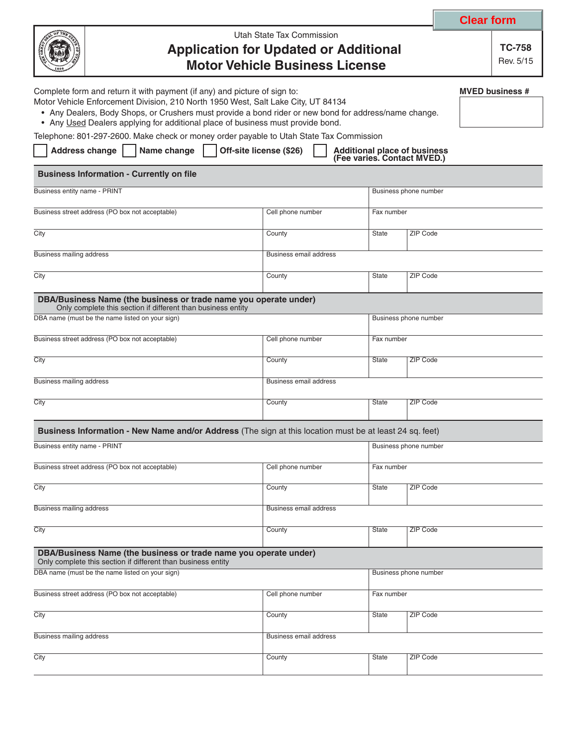|                                                                                                                                                                                                                                                                                                                                                                                                                                                       |                                                                                                                                  |                               |                       |                       | <b>Clear form</b> |                            |  |  |
|-------------------------------------------------------------------------------------------------------------------------------------------------------------------------------------------------------------------------------------------------------------------------------------------------------------------------------------------------------------------------------------------------------------------------------------------------------|----------------------------------------------------------------------------------------------------------------------------------|-------------------------------|-----------------------|-----------------------|-------------------|----------------------------|--|--|
|                                                                                                                                                                                                                                                                                                                                                                                                                                                       | Utah State Tax Commission<br><b>Application for Updated or Additional</b><br><b>Motor Vehicle Business License</b>               |                               |                       |                       |                   | <b>TC-758</b><br>Rev. 5/15 |  |  |
| Complete form and return it with payment (if any) and picture of sign to:<br>Motor Vehicle Enforcement Division, 210 North 1950 West, Salt Lake City, UT 84134<br>• Any Dealers, Body Shops, or Crushers must provide a bond rider or new bond for address/name change.<br>• Any Used Dealers applying for additional place of business must provide bond.<br>Telephone: 801-297-2600. Make check or money order payable to Utah State Tax Commission |                                                                                                                                  |                               |                       |                       |                   | <b>MVED business #</b>     |  |  |
| Off-site license (\$26)<br><b>Address change</b><br>Name change<br><b>Additional place of business</b><br>(Fee varies. Contact MVED.)                                                                                                                                                                                                                                                                                                                 |                                                                                                                                  |                               |                       |                       |                   |                            |  |  |
|                                                                                                                                                                                                                                                                                                                                                                                                                                                       | <b>Business Information - Currently on file</b>                                                                                  |                               |                       |                       |                   |                            |  |  |
| Business entity name - PRINT                                                                                                                                                                                                                                                                                                                                                                                                                          |                                                                                                                                  |                               |                       | Business phone number |                   |                            |  |  |
| Business street address (PO box not acceptable)                                                                                                                                                                                                                                                                                                                                                                                                       |                                                                                                                                  | Cell phone number             | Fax number            |                       |                   |                            |  |  |
| City                                                                                                                                                                                                                                                                                                                                                                                                                                                  |                                                                                                                                  | County                        | <b>State</b>          | ZIP Code              |                   |                            |  |  |
| <b>Business mailing address</b>                                                                                                                                                                                                                                                                                                                                                                                                                       |                                                                                                                                  | Business email address        |                       |                       |                   |                            |  |  |
| City                                                                                                                                                                                                                                                                                                                                                                                                                                                  |                                                                                                                                  | County                        | <b>State</b>          | ZIP Code              |                   |                            |  |  |
|                                                                                                                                                                                                                                                                                                                                                                                                                                                       | DBA/Business Name (the business or trade name you operate under)<br>Only complete this section if different than business entity |                               |                       |                       |                   |                            |  |  |
|                                                                                                                                                                                                                                                                                                                                                                                                                                                       | DBA name (must be the name listed on your sign)                                                                                  | Business phone number         |                       |                       |                   |                            |  |  |
| Business street address (PO box not acceptable)                                                                                                                                                                                                                                                                                                                                                                                                       |                                                                                                                                  | Cell phone number             | Fax number            |                       |                   |                            |  |  |
| City                                                                                                                                                                                                                                                                                                                                                                                                                                                  |                                                                                                                                  | County                        | ZIP Code<br>State     |                       |                   |                            |  |  |
| <b>Business mailing address</b>                                                                                                                                                                                                                                                                                                                                                                                                                       |                                                                                                                                  | <b>Business email address</b> |                       |                       |                   |                            |  |  |
| City                                                                                                                                                                                                                                                                                                                                                                                                                                                  |                                                                                                                                  | County                        | State                 | <b>ZIP Code</b>       |                   |                            |  |  |
|                                                                                                                                                                                                                                                                                                                                                                                                                                                       | Business Information - New Name and/or Address (The sign at this location must be at least 24 sq. feet)                          |                               |                       |                       |                   |                            |  |  |
| <b>Business entity name - PRINT</b>                                                                                                                                                                                                                                                                                                                                                                                                                   |                                                                                                                                  |                               | Business phone number |                       |                   |                            |  |  |
| Business street address (PO box not acceptable)                                                                                                                                                                                                                                                                                                                                                                                                       |                                                                                                                                  | Cell phone number             | Fax number            |                       |                   |                            |  |  |
| City                                                                                                                                                                                                                                                                                                                                                                                                                                                  |                                                                                                                                  | County                        | <b>State</b>          | <b>ZIP Code</b>       |                   |                            |  |  |
| <b>Business mailing address</b>                                                                                                                                                                                                                                                                                                                                                                                                                       |                                                                                                                                  | <b>Business email address</b> |                       |                       |                   |                            |  |  |
| City                                                                                                                                                                                                                                                                                                                                                                                                                                                  |                                                                                                                                  | County                        | <b>State</b>          | <b>ZIP Code</b>       |                   |                            |  |  |
|                                                                                                                                                                                                                                                                                                                                                                                                                                                       | DBA/Business Name (the business or trade name you operate under)<br>Only complete this section if different than business entity |                               |                       |                       |                   |                            |  |  |
|                                                                                                                                                                                                                                                                                                                                                                                                                                                       | DBA name (must be the name listed on your sign)                                                                                  |                               | Business phone number |                       |                   |                            |  |  |
|                                                                                                                                                                                                                                                                                                                                                                                                                                                       | Business street address (PO box not acceptable)                                                                                  | Cell phone number             | Fax number            |                       |                   |                            |  |  |
| City                                                                                                                                                                                                                                                                                                                                                                                                                                                  |                                                                                                                                  | County                        | <b>State</b>          | ZIP Code              |                   |                            |  |  |
| Business mailing address                                                                                                                                                                                                                                                                                                                                                                                                                              |                                                                                                                                  | <b>Business email address</b> |                       |                       |                   |                            |  |  |
| City                                                                                                                                                                                                                                                                                                                                                                                                                                                  |                                                                                                                                  | County                        | <b>State</b>          | ZIP Code              |                   |                            |  |  |
|                                                                                                                                                                                                                                                                                                                                                                                                                                                       |                                                                                                                                  |                               |                       |                       |                   |                            |  |  |